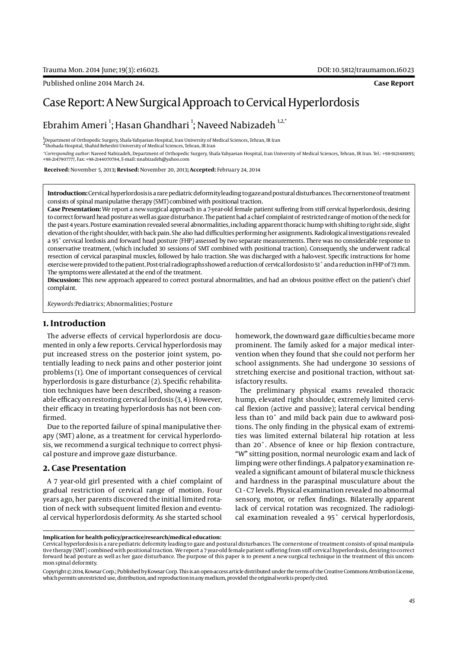Published online 2014 March 24. **Case Report**

# Case Report: A New Surgical Approach to Cervical Hyperlordosis

Ebrahim Ameri  $^{\rm l}$ ; Hasan Ghandhari  $^{\rm l}$ ; Naveed Nabizadeh  $^{\rm l,2,^{\rm r}}$ 

<sup>1</sup> Department of Orthopedic Surgery, Shafa-Yahyaeian Hospital, Iran University of Medical Sciences, Tehran, IR Iran

2 Shohada Hospital, Shahid Beheshti University of Medical Sciences, Tehran, IR Iran

*\*Corresponding author*: Naveed Nabizadeh, Department of Orthopedic Surgery, Shafa-Yahyaeian Hospital, Iran University of Medical Sciences, Tehran, IR Iran. Tel.: +98-9121481895; +98-2147907777, Fax: +98-2144070784, E-mail: nnabizadeh@yahoo.com

 **Received:** November 5, 2013**; Revised:** November 20, 2013**; Accepted:** February 24, 2014

**Introduction:** Cervical hyperlordosis is a rare pediatric deformity leading to gaze and postural disturbances. The cornerstone of treatment consists of spinal manipulative therapy (SMT) combined with positional traction.

**Case Presentation:** We report a new surgical approach in a 7-year-old female patient suffering from stiff cervical hyperlordosis, desiring to correct forward head posture as well as gaze disturbance. The patient had a chief complaint of restricted range of motion of the neck for the past 4 years. Posture examination revealed several abnormalities, including apparent thoracic hump with shifting to right side, slight elevation of the right shoulder, with back pain. She also had difficulties performing her assignments. Radiological investigations revealed a 95˚ cervical lordosis and forward head posture (FHP) assessed by two separate measurements. There was no considerable response to conservative treatment, (which included 30 sessions of SMT combined with positional traction). Consequently, she underwent radical resection of cervical paraspinal muscles, followed by halo traction. She was discharged with a halo-vest. Specific instructions for home exercise were provided to the patient. Post-trial radiographs showed a reduction of cervical lordosis to 51˚ and a reduction in FHP of 73 mm. The symptoms were alleviated at the end of the treatment.

**Discussion:** This new approach appeared to correct postural abnormalities, and had an obvious positive effect on the patient's chief complaint.

*Keywords:*Pediatrics; Abnormalities; Posture

#### **1. Introduction**

The adverse effects of cervical hyperlordosis are documented in only a few reports. Cervical hyperlordosis may put increased stress on the posterior joint system, potentially leading to neck pains and other posterior joint problems (1). One of important consequences of cervical hyperlordosis is gaze disturbance (2). Specific rehabilitation techniques have been described, showing a reasonable efficacy on restoring cervical lordosis (3, 4). However, their efficacy in treating hyperlordosis has not been confirmed.

Due to the reported failure of spinal manipulative therapy (SMT) alone, as a treatment for cervical hyperlordosis, we recommend a surgical technique to correct physical posture and improve gaze disturbance.

#### **2. Case Presentation**

A 7 year-old girl presented with a chief complaint of gradual restriction of cervical range of motion. Four years ago, her parents discovered the initial limited rotation of neck with subsequent limited flexion and eventual cervical hyperlordosis deformity. As she started school

homework, the downward gaze difficulties became more prominent. The family asked for a major medical intervention when they found that she could not perform her school assignments. She had undergone 30 sessions of stretching exercise and positional traction, without satisfactory results.

The preliminary physical exams revealed thoracic hump, elevated right shoulder, extremely limited cervical flexion (active and passive); lateral cervical bending less than 10˚ and mild back pain due to awkward positions. The only finding in the physical exam of extremities was limited external bilateral hip rotation at less than 20˚. Absence of knee or hip flexion contracture, "W" sitting position, normal neurologic exam and lack of limping were other findings. A palpatory examination revealed a significant amount of bilateral muscle thickness and hardness in the paraspinal musculature about the C1 - C7 levels. Physical examination revealed no abnormal sensory, motor, or reflex findings. Bilaterally apparent lack of cervical rotation was recognized. The radiological examination revealed a 95˚ cervical hyperlordosis,

**Implication for health policy/practice/research/medical education:**

Cervical hyperlordosis is a rare pediatric deformity leading to gaze and postural disturbances. The cornerstone of treatment consists of spinal manipulative therapy (SMT) combined with positional traction. We report a 7 year-old female patient suffering from stiff cervical hyperlordosis, desiring to correct forward head posture as well as her gaze disturbance. The purpose of this paper is to present a new surgical technique in the treatment of this uncommon spinal deformity.

Copyright © 2014, Kowsar Corp.; Published by Kowsar Corp. This is an open-access article distributed under the terms of the Creative Commons Attribution License, which permits unrestricted use, distribution, and reproduction in any medium, provided the original work is properly cited.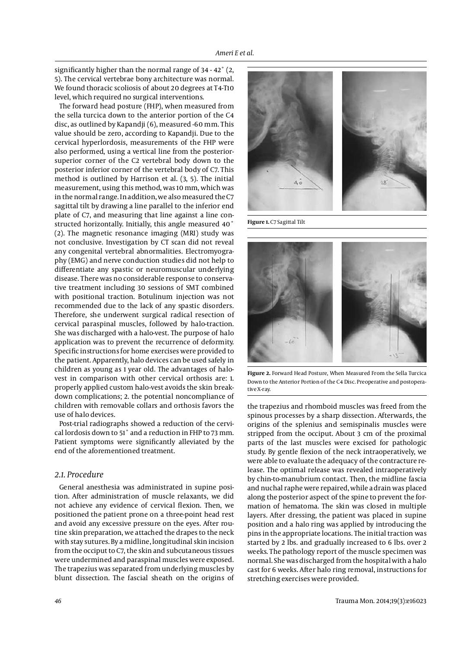significantly higher than the normal range of 34 - 42˚ (2, 5). The cervical vertebrae bony architecture was normal. We found thoracic scoliosis of about 20 degrees at T4-T10 level, which required no surgical interventions.

The forward head posture (FHP), when measured from the sella turcica down to the anterior portion of the C4 disc, as outlined by Kapandji (6), measured -60 mm. This value should be zero, according to Kapandji. Due to the cervical hyperlordosis, measurements of the FHP were also performed, using a vertical line from the posteriorsuperior corner of the C2 vertebral body down to the posterior inferior corner of the vertebral body of C7. This method is outlined by Harrison et al. (3, 5). The initial measurement, using this method, was 10 mm, which was in the normal range. In addition, we also measured the C7 sagittal tilt by drawing a line parallel to the inferior end plate of C7, and measuring that line against a line constructed horizontally. Initially, this angle measured 40˚ (2). The magnetic resonance imaging (MRI) study was not conclusive. Investigation by CT scan did not reveal any congenital vertebral abnormalities. Electromyography (EMG) and nerve conduction studies did not help to differentiate any spastic or neuromuscular underlying disease. There was no considerable response to conservative treatment including 30 sessions of SMT combined with positional traction. Botulinum injection was not recommended due to the lack of any spastic disorders. Therefore, she underwent surgical radical resection of cervical paraspinal muscles, followed by halo-traction. She was discharged with a halo-vest. The purpose of halo application was to prevent the recurrence of deformity. Specific instructions for home exercises were provided to the patient. Apparently, halo devices can be used safely in children as young as 1 year old. The advantages of halovest in comparison with other cervical orthosis are: 1. properly applied custom halo-vest avoids the skin breakdown complications; 2. the potential noncompliance of children with removable collars and orthosis favors the use of halo devices.

Post-trial radiographs showed a reduction of the cervical lordosis down to 51˚ and a reduction in FHP to 73 mm. Patient symptoms were significantly alleviated by the end of the aforementioned treatment.

# *2.1. Procedure*

General anesthesia was administrated in supine position. After administration of muscle relaxants, we did not achieve any evidence of cervical flexion. Then, we positioned the patient prone on a three-point head rest and avoid any excessive pressure on the eyes. After routine skin preparation, we attached the drapes to the neck with stay sutures. By a midline, longitudinal skin incision from the occiput to C7, the skin and subcutaneous tissues were undermined and paraspinal muscles were exposed. The trapezius was separated from underlying muscles by blunt dissection. The fascial sheath on the origins of



**Figure 1.** C7 Sagittal Tilt



**Figure 2.** Forward Head Posture, When Measured From the Sella Turcica Down to the Anterior Portion of the C4 Disc. Preoperative and postoperative X-ray.

the trapezius and rhomboid muscles was freed from the spinous processes by a sharp dissection. Afterwards, the origins of the splenius and semispinalis muscles were stripped from the occiput. About 3 cm of the proximal parts of the last muscles were excised for pathologic study. By gentle flexion of the neck intraoperatively, we were able to evaluate the adequacy of the contracture release. The optimal release was revealed intraoperatively by chin-to-manubrium contact. Then, the midline fascia and nuchal raphe were repaired, while a drain was placed along the posterior aspect of the spine to prevent the formation of hematoma. The skin was closed in multiple layers. After dressing, the patient was placed in supine position and a halo ring was applied by introducing the pins in the appropriate locations. The initial traction was started by 2 lbs. and gradually increased to 6 lbs. over 2 weeks. The pathology report of the muscle specimen was normal. She was discharged from the hospital with a halo cast for 6 weeks. After halo ring removal, instructions for stretching exercises were provided.